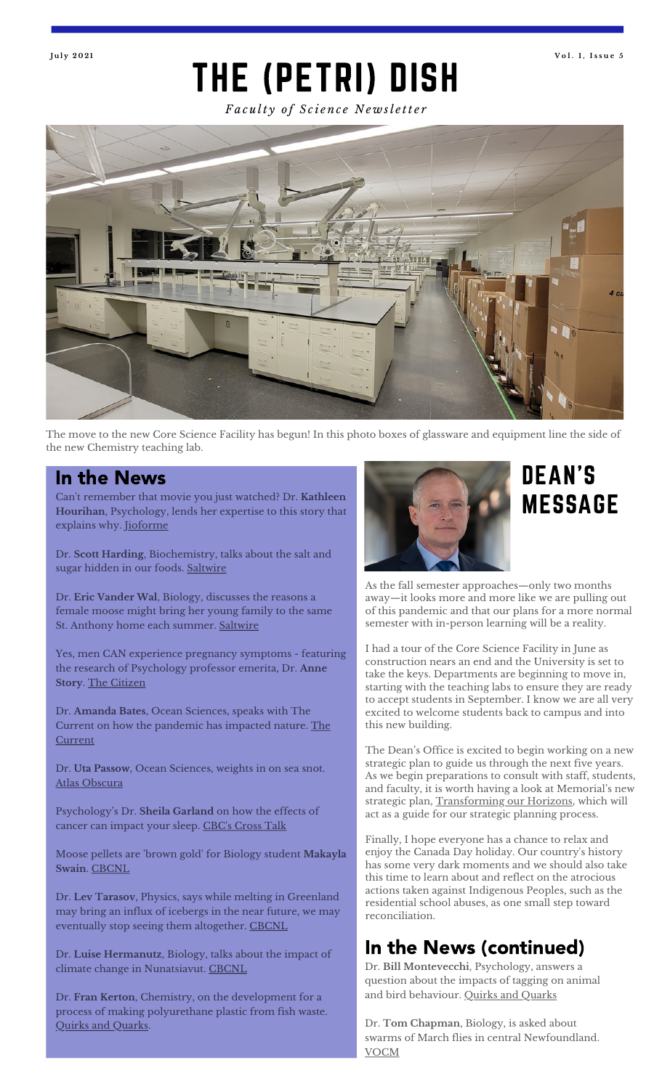#### THE (PETRI) DISH **J u l y 2 0 2 1 V o l . 1 , I s s u e 5**

*Fa c u lt y o f S c i e n c e N e w sl e tt e r*



The move to the new Core Science Facility has begun! In this photo boxes of glassware and equipment line the side of the new Chemistry teaching lab.

Can 't remember that movie you just watched? Dr. **Kathleen Hourihan**, Psychology, lends her expertise to this story that explains why. [Jioforme](https://www.jioforme.com/psychologists-explain-why-you-cant-remember-the-movie-you-just-watched/524483/)

Dr. **Scott Harding**, Biochemistry, talks about the salt and sugar hidden in our foods. [Saltwire](https://www.saltwire.com/atlantic-canada/lifestyles/health/how-much-salt-and-sugar-is-hidden-in-your-food-much-more-than-you-realize-says-newfoundland-professor-100603102/)

Dr. **Eric Vander Wal**, Biology, discusses the reasons a female moose might bring her young family to the same St. Anthony home each summer. [Saltwire](https://www.saltwire.com/atlantic-canada/lifestyles/local-lifestyles/a-moose-a-man-and-memories-newfoundlander-looks-forward-to-his-annual-four-legged-visitor-100601130/)

Yes, men CAN experience pregnancy symptoms - featuring the research of Psychology professor emerita, Dr. **Anne Story**. The [Citizen](https://citizen.co.za/lifestyle/2540068/yes-men-can-experience-pregnancy-symptoms-heres-how/)

Dr. **Amanda Bates**, Ocean Sciences, speaks with The Current on how the [pandemic](https://www.cbc.ca/radio/thecurrent/the-current-for-june-7-2021-1.6055877) has impacted nature. The **Current** 

Dr. **Uta Passow**, Ocean Sciences, weights in on sea snot. Atlas [Obscura](https://www.atlasobscura.com/articles/what-is-sea-snot)

Psychology ' s Dr. **Sheila Garland** on how the effects of cancer can impact your sleep. <u>CBC's [Cross](https://www.cbc.ca/listen/live-radio/1-89-cross-talk/clip/15846254-coping-side-effects-cancer) Talk</u>

Moose pellets are 'brown gold' for Biology student **Makayla Swain**. [CBCNL](https://www.cbc.ca/news/canada/newfoundland-labrador/moose-poop-1.6040762)

Dr. **Lev Tarasov**, Physics, says while melting in Greenland may bring an influx of icebergs in the near future, we may eventually stop seeing them altogether. [CBCNL](https://www.cbc.ca/news/canada/newfoundland-labrador/sluggish-iceberg-season-nl-1.6034212)

Dr. **Luise Hermanutz**, Biology, talks about the impact of climate change in Nunatsiavut. [CBCNL](https://www.cbc.ca/news/canada/newfoundland-labrador/thin-ice-labrador-summer-climate-changes-1.6005130)

Dr. **Fran Kerton**, Chemistry, on the development for a process of making polyurethane plastic from fish waste. Quirks and [Quarks](https://www.cbc.ca/radio/quirks/may-8-sounds-of-a-predator-horses-are-well-diggers-grass-defuses-a-toxic-explosive-and-more-1.6016777/making-the-most-of-fish-waste-how-scientists-transformed-it-into-biodegradable-plastic-1.6017790).



# **MESSAGE**

As the fall semester approaches—only two months away—it looks more and more like we are pulling out of this pandemic and that our plans for a more normal semester with in-person learning will be a reality.

I had a tour of the Core Science Facility in June as construction nears an end and the University is set to take the keys. Departments are beginning to move in, starting with the teaching labs to ensure they are ready to accept students in September. I know we are all very excited to welcome students back to campus and into this new building.

The Dean 's Office is excited to begin working on a new strategic plan to guide us through the next five years. As we begin preparations to consult with staff, students, and faculty, it is worth having a look at Memorial' s new strategic plan, [Transforming](https://www.mun.ca/strategicplanning/TransformingOurHorizons_2021-2026.pdf) our Horizons, which will act as a guide for our strategic planning process.

Finally, I hope everyone has a chance to relax and enjoy the Canada Day holiday. Our country ' s history has some very dark moments and we should also take this time to learn about and reflect on the atrocious actions taken against Indigenous Peoples, such as the residential school abuses, as one small step toward reconciliation.

#### In the News (continued)

Dr. **Bill Montevecchi**, Psychology, answers a question about the impacts of tagging on animal and bird behaviour. Quirks and [Quarks](https://www.cbc.ca/radio/quirks/jun-26-the-quirks-quarks-listener-question-show-1.6080839)

Dr. **Tom Chapman**, Biology, is asked about swarms of March flies in central Newfoundland. [VOCM](https://vocm.com/2021/06/25/march-flies/)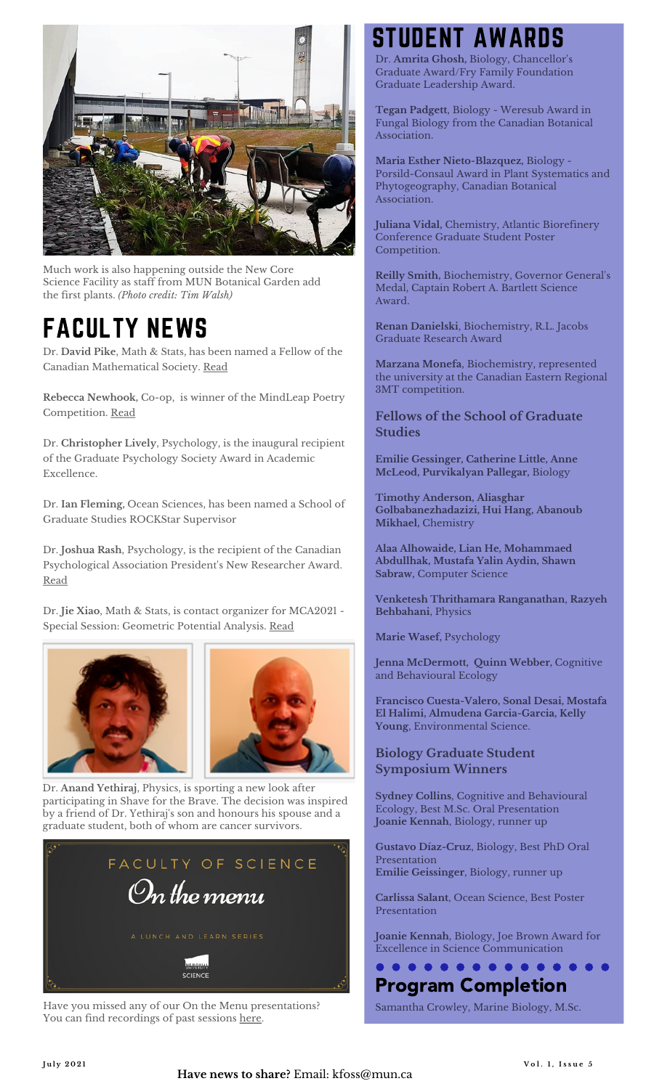

Much work is also happening outside the New Core Science Facility as staff from MUN Botanical Garden add the first plants. *(Photo credit: Tim Walsh)*

### FACULTY NEWS

Dr. **David Pike**, Math & Stats, has been named a Fellow of the Canadian Mathematical Society. [Read](https://cms.math.ca/news-item/canadian-mathematical-societys-2021-class-of-fellows-announced/)

**Rebecca Newhook,** Co-op, is winner of the MindLeap Poetry Competition. [Read](https://www.saltwire.com/prince-edward-island/lifestyles/rebecca-newhook-of-st-johns-wins-mindleap-poetry-competition-100588278/)

Dr. **Christopher Lively**, Psychology, is the inaugural recipient of the Graduate Psychology Society Award in Academic Excellence.

Dr. **Ian Fleming,** Ocean Sciences, has been named a School of Graduate Studies ROCKStar Supervisor

Dr. **Joshua Rash**, Psychology, is the recipient of the Canadian Psychological Association President' s New Researcher Award. [Read](https://cpa.ca/aboutcpa/cpaawards/presidentsaward/)

Dr. **Jie Xiao**, Math & Stats, is contact organizer for MCA2021 - Special Session: Geometric Potential Analysis. [Read](https://www.mca2021.org/en/special-sessions/item/21-geometric-potential-analysis)





Dr. **Anand Yethiraj**, Physics, is sporting a new look after participating in Shave for the Brave. The decision was inspired by a friend of Dr. Yethiraj' s son and honours his spouse and a graduate student, both of whom are cancer survivors.



Have you missed any of our On the Menu presentations? You can find recordings of past sessions [here](https://www.mun.ca/science/research_teaching/research/on_the_menu.php).

# **STUDENT AWAR**

Dr. **Amrita Ghosh,** Biology, Chancellor 's Graduate Award/Fry Family Foundation Graduate Leadership Award.

**Tegan Padgett**, Biology - Weresub Award in Fungal Biology from the Canadian Botanical Association.

**Maria Esther Nieto-Blazquez,** Biology - Porsild-Consaul Award in Plant Systematics and Phytogeography, Canadian Botanical Association.

**Juliana Vidal,** Chemistry, Atlantic Biorefinery Conference Graduate Student Poster Competition.

**Reilly Smith,** Biochemistry, Governor General' s Medal, Captain Robert A. Bartlett Science Award.

**Renan Danielski**, Biochemistry, R.L. Jacobs Graduate Research Award

**Marzana Monefa**, Biochemistry, represented the university at the Canadian Eastern Regional 3MT competition.

#### **Fellows of the School of Graduate Studies**

**Emilie Gessinger, Catherine Little, Anne McLeod, Purvikalyan Pallegar,** Biology

**Timothy Anderson, Aliasghar Golbabanezhadazizi, Hui Hang, Abanoub Mikhael,** Chemistry

**Alaa Alhowaide, Lian He, Mohammaed Abdullhak, Mustafa Yalin Aydin, Shawn Sabraw,** Computer Science

**Venketesh Thrithamara Ranganathan**, **Razyeh Behbahani**, Physics

**Marie Wasef,** Psychology

**Jenna McDermott, Quinn Webber,** Cognitive and Behavioural Ecology

**Francisco Cuesta-Valero, Sonal Desai, Mostafa El Halimi, Almudena Garcia-Garcia, Kelly Young**, Environmental Science.

#### **Biology Graduate Student Symposium Winners**

**Sydney Collins**, Cognitive and Behavioural Ecology, Best M.Sc. Oral Presentation **Joanie Kennah**, Biology, runner up

**Gustavo Díaz-Cruz**, Biology, Best PhD Oral Presentation **Emilie Geissinger**, Biology, runner up

**Carlissa Salant**, Ocean Science, Best Poster Presentation

**Joanie Kennah**, Biology, Joe Brown Award for Excellence in Science Communication

### Program Completion

Samantha Crowley, Marine Biology, M.Sc.